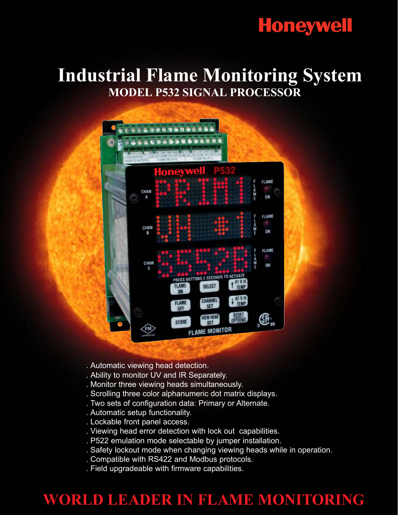# **Honeywell**

## **Industrial Flame Monitoring System MODEL P532 SIGNAL PROCESSOR**

- . Automatic viewing head detection.
- . Ability to monitor UV and IR Separately.
- . Monitor three viewing heads simultaneously.
- . Scrolling three color alphanumeric dot matrix displays.
- . Two sets of configuration data: Primary or Alternate.
- . Automatic setup functionality.
- . Lockable front panel access.
- . Viewing head error detection with lock out capabilities.
- . P522 emulation mode selectable by jumper installation.
- . Safety lockout mode when changing viewing heads while in operation.
- . Compatible with RS422 and Modbus protocols.
- . Field upgradeable with firmware capabilities.

### **WORLD LEADER IN FLAME MONITORING**